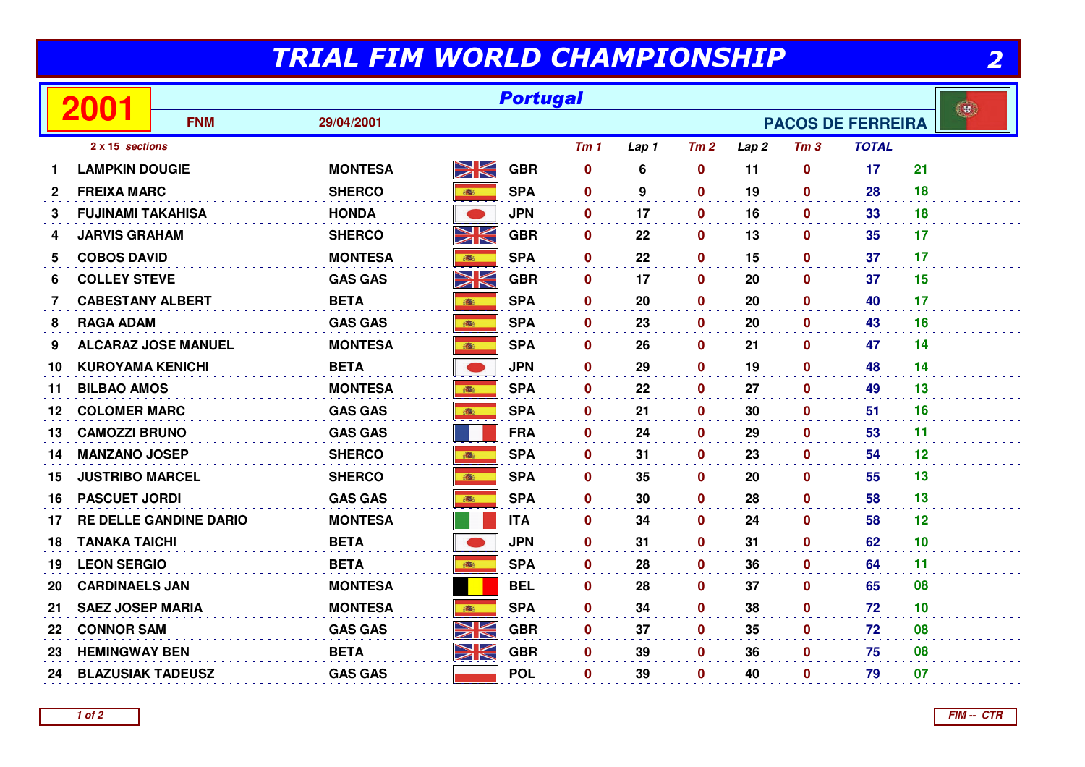## TRIAL FIM WORLD CHAMPIONSHIP

|              | TRIAL FIM WORLD CHAMPIONSHIP<br>2 |                               |                |            |                 |                 |                          |              |                  |                 |              |    |              |
|--------------|-----------------------------------|-------------------------------|----------------|------------|-----------------|-----------------|--------------------------|--------------|------------------|-----------------|--------------|----|--------------|
|              | 2001                              |                               |                |            | <b>Portugal</b> |                 |                          |              |                  |                 |              |    | $\mathbf{B}$ |
|              |                                   | <b>FNM</b>                    | 29/04/2001     |            |                 |                 | <b>PACOS DE FERREIRA</b> |              |                  |                 |              |    |              |
|              | 2 x 15 sections                   |                               |                |            |                 | Tm <sub>1</sub> | Lap 1                    | Tm2          | Lap <sub>2</sub> | Tm <sub>3</sub> | <b>TOTAL</b> |    |              |
| 1            | <b>LAMPKIN DOUGIE</b>             |                               | <b>MONTESA</b> | NV<br>ZN   | <b>GBR</b>      | $\mathbf 0$     | 6                        | $\mathbf 0$  | 11               | $\bf{0}$        | 17           | 21 |              |
| $\mathbf{2}$ | <b>FREIXA MARC</b>                |                               | <b>SHERCO</b>  | <b>BEE</b> | <b>SPA</b>      | $\mathbf 0$     | 9                        | $\mathbf 0$  | 19               | $\mathbf 0$     | 28           | 18 |              |
| 3            | <b>FUJINAMI TAKAHISA</b>          |                               | <b>HONDA</b>   |            | <b>JPN</b>      | $\mathbf 0$     | 17                       | $\mathbf 0$  | 16               | 0               | 33           | 18 |              |
| 4            | <b>JARVIS GRAHAM</b>              |                               | <b>SHERCO</b>  | NK         | <b>GBR</b>      | $\mathbf{0}$    | 22                       | $\mathbf 0$  | 13               | $\bf{0}$        | 35           | 17 |              |
| 5            | <b>COBOS DAVID</b>                |                               | <b>MONTESA</b> | 6          | <b>SPA</b>      | $\mathbf{0}$    | 22                       | $\mathbf 0$  | 15               | $\bf{0}$        | 37           | 17 |              |
| 6            | <b>COLLEY STEVE</b>               |                               | <b>GAS GAS</b> | NK         | <b>GBR</b>      | $\mathbf{0}$    | 17                       | $\mathbf 0$  | 20               | $\mathbf 0$     | 37           | 15 |              |
| 7            | <b>CABESTANY ALBERT</b>           |                               | <b>BETA</b>    |            | <b>SPA</b>      | 0               | 20                       | $\mathbf 0$  | 20               | $\mathbf{0}$    | 40           | 17 |              |
| 8            | <b>RAGA ADAM</b>                  |                               | <b>GAS GAS</b> |            | <b>SPA</b>      | $\mathbf{0}$    | 23                       | $\mathbf 0$  | 20               | $\mathbf 0$     | 43           | 16 |              |
| 9            |                                   | <b>ALCARAZ JOSE MANUEL</b>    | <b>MONTESA</b> | 100        | <b>SPA</b>      | $\mathbf{0}$    | 26                       | $\mathbf 0$  | 21               | $\mathbf{0}$    | 47           | 14 |              |
| 10           | <b>KUROYAMA KENICHI</b>           |                               | <b>BETA</b>    |            | <b>JPN</b>      | $\mathbf{0}$    | 29                       | $\mathbf 0$  | 19               | $\mathbf 0$     | 48           | 14 |              |
| 11           | <b>BILBAO AMOS</b>                |                               | <b>MONTESA</b> | ●          | <b>SPA</b>      | $\mathbf{0}$    | 22                       | $\mathbf 0$  | 27               | $\bf{0}$        | 49           | 13 |              |
| 12           | <b>COLOMER MARC</b>               |                               | <b>GAS GAS</b> | <b>BEE</b> | <b>SPA</b>      | $\mathbf 0$     | 21                       | $\mathbf 0$  | 30               | $\mathbf 0$     | 51           | 16 |              |
| 13           | <b>CAMOZZI BRUNO</b>              |                               | <b>GAS GAS</b> |            | <b>FRA</b>      | $\mathbf{0}$    | 24                       | $\pmb{0}$    | 29               | $\bf{0}$        | 53           | 11 |              |
| 14           | <b>MANZANO JOSEP</b>              |                               | <b>SHERCO</b>  |            | <b>SPA</b>      | $\mathbf{0}$    | 31                       | $\mathbf 0$  | 23               | $\bf{0}$        | 54           | 12 |              |
| 15           | <b>JUSTRIBO MARCEL</b>            |                               | <b>SHERCO</b>  | <b>选</b>   | <b>SPA</b>      | $\mathbf 0$     | 35                       | $\mathbf 0$  | 20               | $\bf{0}$        | 55           | 13 |              |
| 16           | <b>PASCUET JORDI</b>              |                               | <b>GAS GAS</b> | 瓣          | <b>SPA</b>      | $\mathbf{0}$    | 30                       | $\mathbf 0$  | 28               | $\mathbf 0$     | 58           | 13 |              |
| 17           |                                   | <b>RE DELLE GANDINE DARIO</b> | <b>MONTESA</b> |            | <b>ITA</b>      | 0               | 34                       | $\mathbf 0$  | 24               | $\mathbf 0$     | 58           | 12 |              |
| 18           | <b>TANAKA TAICHI</b>              |                               | <b>BETA</b>    |            | <b>JPN</b>      | $\mathbf 0$     | 31                       | $\mathbf 0$  | 31               | $\bf{0}$        | 62           | 10 |              |
| 19           | <b>LEON SERGIO</b>                |                               | <b>BETA</b>    |            | <b>SPA</b>      | $\mathbf{0}$    | 28                       | $\mathbf 0$  | 36               | $\mathbf{0}$    | 64           | 11 |              |
| 20           | <b>CARDINAELS JAN</b>             |                               | <b>MONTESA</b> |            | <b>BEL</b>      | $\mathbf 0$     | 28                       | $\mathbf 0$  | 37               | $\mathbf 0$     | 65           | 08 |              |
| 21           | <b>SAEZ JOSEP MARIA</b>           |                               | <b>MONTESA</b> | ●          | <b>SPA</b>      | $\mathbf{0}$    | 34                       | $\mathbf{0}$ | 38               | $\bf{0}$        | 72           | 10 |              |
| 22           | <b>CONNOR SAM</b>                 |                               | <b>GAS GAS</b> | NK         | <b>GBR</b>      | $\mathbf 0$     | 37                       | $\mathbf 0$  | 35               | $\bf{0}$        | 72           | 08 |              |
| 23           | <b>HEMINGWAY BEN</b>              |                               | <b>BETA</b>    | NK         | <b>GBR</b>      | $\mathbf{0}$    | 39                       | $\mathbf 0$  | 36               | $\bf{0}$        | 75           | 08 |              |
| 24           | <b>BLAZUSIAK TADEUSZ</b>          |                               | <b>GAS GAS</b> |            | <b>POL</b>      | 0               | 39                       | $\mathbf 0$  | 40               | 0               | 79           | 07 |              |

**1 of 2FIM -- CTR**